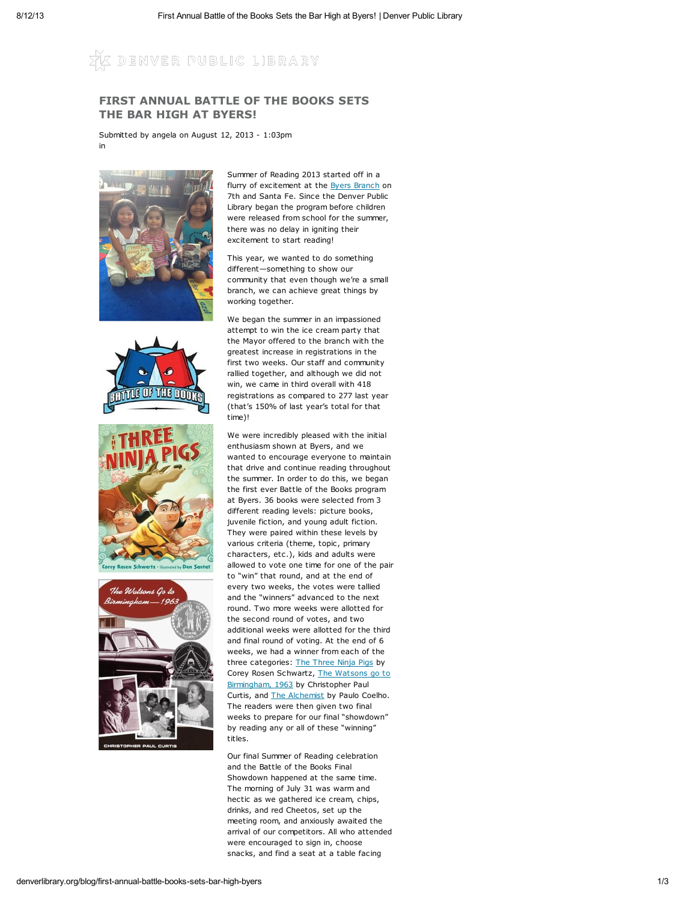DENVER PUBLIC LIBRARY

## FIRST ANNUAL BATTLE OF THE BOOKS SETS THE BAR HIGH AT BYERS!

Submitted by angela on August 12, 2013 - 1:03pm in









Summer of Reading 2013 started off in a flurry of excitement at the Byers [Branch](http://denverlibrary.org/node/223) on 7th and Santa Fe. Since the Denver Public Library began the program before children were released from school for the summer, there was no delay in igniting their excitement to start reading!

This year, we wanted to do something different—something to show our community that even though we're a small branch, we can achieve great things by working together.

We began the summer in an impassioned attempt to win the ice cream party that the Mayor offered to the branch with the greatest increase in registrations in the first two weeks. Our staff and community rallied together, and although we did not win, we came in third overall with 418 registrations as compared to 277 last year (that's 150% of last year's total for that time)!

We were incredibly pleased with the initial enthusiasm shown at Byers, and we wanted to encourage everyone to maintain that drive and continue reading throughout the summer. In order to do this, we began the first ever Battle of the Books program at Byers. 36 books were selected from 3 different reading levels: picture books, juvenile fiction, and young adult fiction. They were paired within these levels by various criteria (theme, topic, primary characters, etc.), kids and adults were allowed to vote one time for one of the pair to "win" that round, and at the end of every two weeks, the votes were tallied and the "winners" advanced to the next round. Two more weeks were allotted for the second round of votes, and two additional weeks were allotted for the third and final round of voting. At the end of 6 weeks, we had a winner from each of the three categories: The [Three](http://catalog.denverlibrary.org/view.aspx?cn=997744) Ninja Pigs by Corey Rosen Schwartz, The Watsons go to [Birmingham,](http://catalog.denverlibrary.org/view.aspx?keyword=Watsons%20Birmingham%201963%20flint) 1963 by Christopher Paul Curtis, and The [Alchemist](http://catalog.denverlibrary.org/view.aspx?keyword=The%20Alchemist%20Paulo%20Coelho%20spain) by Paulo Coelho. The readers were then given two final weeks to prepare for our final "showdown" by reading any or all of these "winning" titles.

Our final Summer of Reading celebration and the Battle of the Books Final Showdown happened at the same time. The morning of July 31 was warm and hectic as we gathered ice cream, chips, drinks, and red Cheetos, set up the meeting room, and anxiously awaited the arrival of our competitors. All who attended were encouraged to sign in, choose snacks, and find a seat at a table facing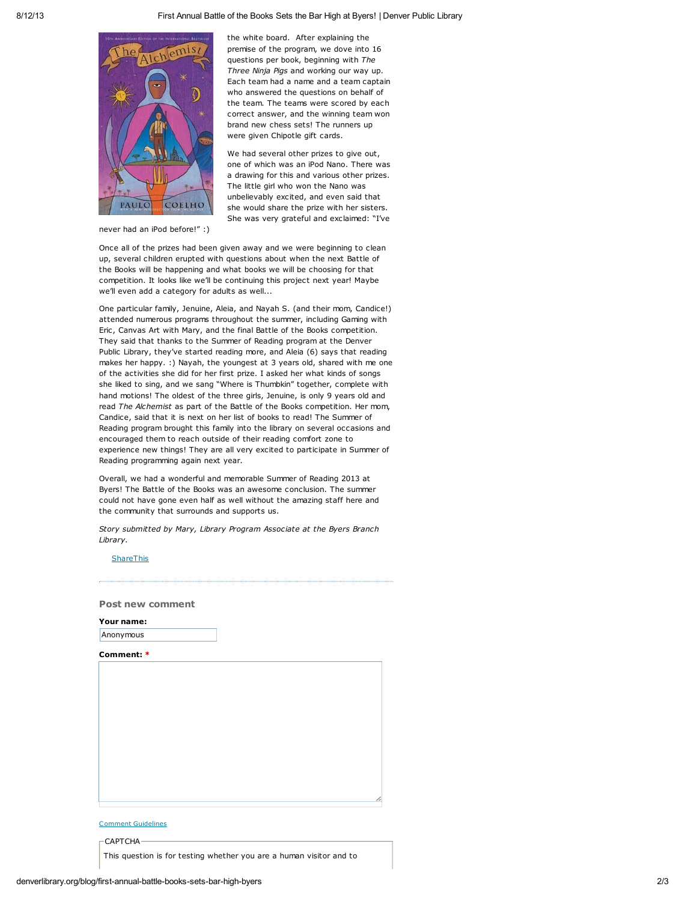

the white board. After explaining the premise of the program, we dove into 16 questions per book, beginning with The Three Ninja Pigs and working our way up. Each team had a name and a team captain who answered the questions on behalf of the team. The teams were scored by each correct answer, and the winning team won brand new chess sets! The runners up were given Chipotle gift cards.

We had several other prizes to give out, one of which was an iPod Nano. There was a drawing for this and various other prizes. The little girl who won the Nano was unbelievably excited, and even said that she would share the prize with her sisters. She was very grateful and exclaimed: "I've

never had an iPod before!" :)

Once all of the prizes had been given away and we were beginning to clean up, several children erupted with questions about when the next Battle of the Books will be happening and what books we will be choosing for that competition. It looks like we'll be continuing this project next year! Maybe we'll even add a category for adults as well...

One particular family, Jenuine, Aleia, and Nayah S. (and their mom, Candice!) attended numerous programs throughout the summer, including Gaming with Eric, Canvas Art with Mary, and the final Battle of the Books competition. They said that thanks to the Summer of Reading program at the Denver Public Library, they've started reading more, and Aleia (6) says that reading makes her happy. :) Nayah, the youngest at 3 years old, shared with me one of the activities she did for her first prize. I asked her what kinds of songs she liked to sing, and we sang "Where is Thumbkin" together, complete with hand motions! The oldest of the three girls, Jenuine, is only 9 years old and read The Alchemist as part of the Battle of the Books competition. Her mom, Candice, said that it is next on her list of books to read! The Summer of Reading program brought this family into the library on several occasions and encouraged them to reach outside of their reading comfort zone to experience new things! They are all very excited to participate in Summer of Reading programming again next year.

Overall, we had a wonderful and memorable Summer of Reading 2013 at Byers! The Battle of the Books was an awesome conclusion. The summer could not have gone even half as well without the amazing staff here and the community that surrounds and supports us.

Story submitted by Mary, Library Program Associate at the Byers Branch Library.

## **[ShareThis](javascript:void(0))**

Post new comment

| Your name: |  |
|------------|--|
| Anonymous  |  |

Comment: \*

|                                  |  |  | h |
|----------------------------------|--|--|---|
|                                  |  |  |   |
| $\cdots$<br>$\cdots$<br>. .<br>- |  |  |   |

## Comment [Guidelines](http://denverlibrary.org/node/1128)

CAPTCHA

This question is for testing whether you are a human visitor and to